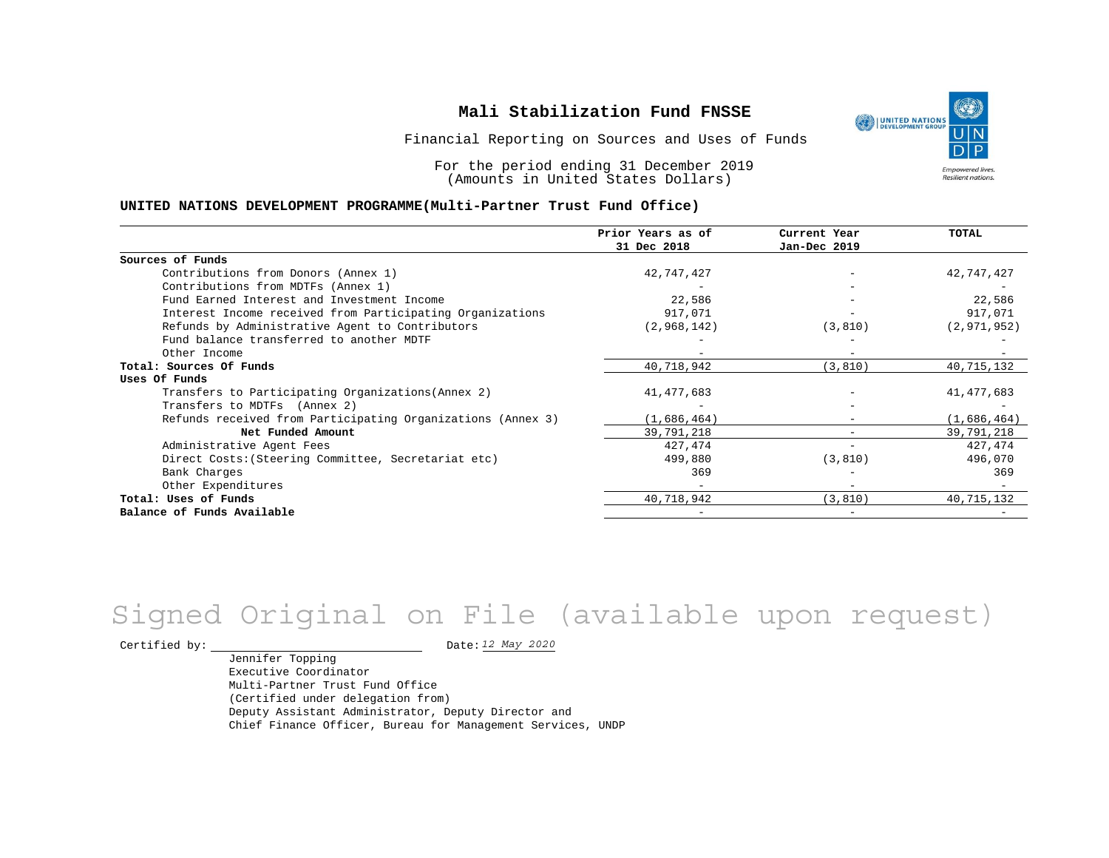Financial Reporting on Sources and Uses of Funds

For the period ending 31 December 2019 (Amounts in United States Dollars)

#### **UNITED NATIONS DEVELOPMENT PROGRAMME(Multi-Partner Trust Fund Office)**

|                                                             | Prior Years as of | Current Year | TOTAL         |
|-------------------------------------------------------------|-------------------|--------------|---------------|
|                                                             | 31 Dec 2018       | Jan-Dec 2019 |               |
| Sources of Funds                                            |                   |              |               |
| Contributions from Donors (Annex 1)                         | 42,747,427        |              | 42,747,427    |
| Contributions from MDTFs (Annex 1)                          |                   |              |               |
| Fund Earned Interest and Investment Income                  | 22,586            |              | 22,586        |
| Interest Income received from Participating Organizations   | 917,071           |              | 917,071       |
| Refunds by Administrative Agent to Contributors             | (2,968,142)       | (3, 810)     | (2, 971, 952) |
| Fund balance transferred to another MDTF                    |                   |              |               |
| Other Income                                                |                   |              |               |
| Total: Sources Of Funds                                     | 40,718,942        | (3, 810)     | 40,715,132    |
| Uses Of Funds                                               |                   |              |               |
| Transfers to Participating Organizations (Annex 2)          | 41, 477, 683      |              | 41, 477, 683  |
| Transfers to MDTFs (Annex 2)                                |                   |              |               |
| Refunds received from Participating Organizations (Annex 3) | (1,686,464)       |              | (1,686,464)   |
| Net Funded Amount                                           | 39,791,218        |              | 39,791,218    |
| Administrative Agent Fees                                   | 427,474           |              | 427, 474      |
| Direct Costs: (Steering Committee, Secretariat etc)         | 499,880           | (3, 810)     | 496,070       |
| Bank Charges                                                | 369               |              | 369           |
| Other Expenditures                                          |                   |              |               |
| Total: Uses of Funds                                        | 40,718,942        | (3, 810)     | 40,715,132    |
| Balance of Funds Available                                  |                   |              |               |

# Signed Original on File (available upon request)

Certified by: Date:

Jennifer Topping Executive Coordinator Multi-Partner Trust Fund Office (Certified under delegation from) Deputy Assistant Administrator, Deputy Director and Chief Finance Officer, Bureau for Management Services, UNDP

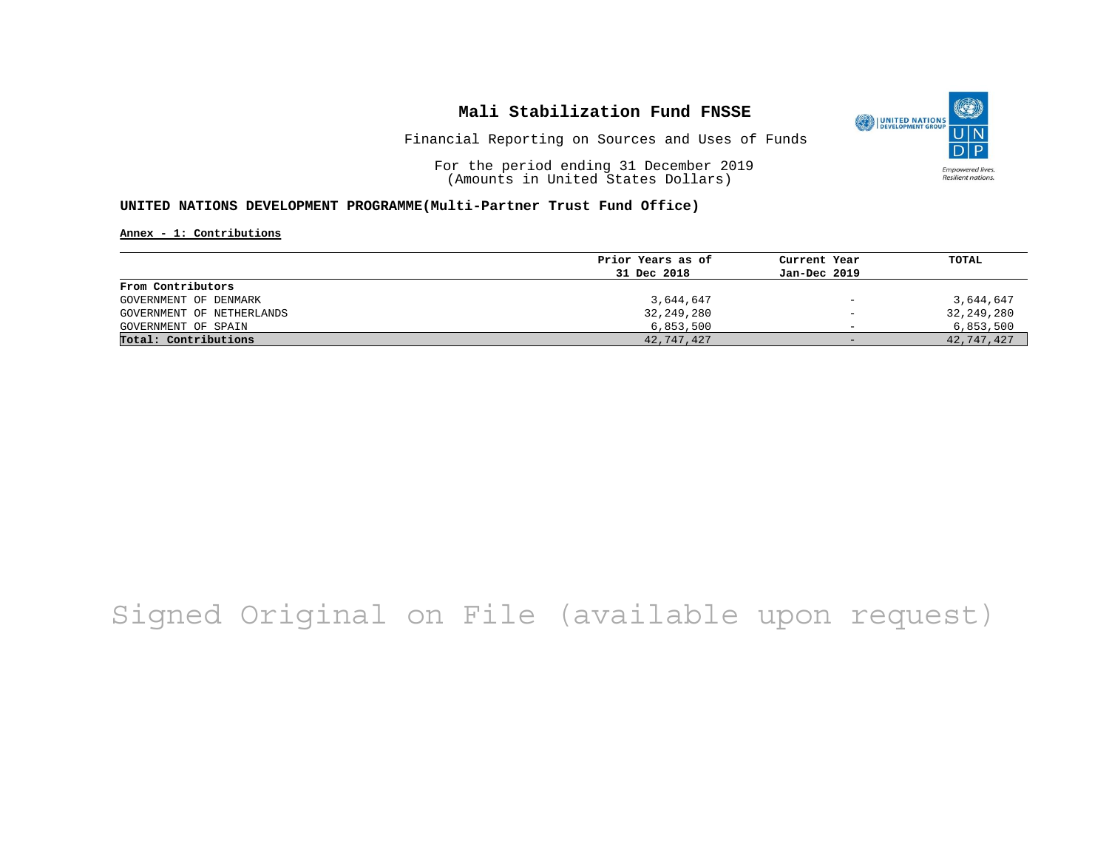

Financial Reporting on Sources and Uses of Funds

For the period ending 31 December 2019 (Amounts in United States Dollars)

#### **UNITED NATIONS DEVELOPMENT PROGRAMME(Multi-Partner Trust Fund Office)**

**Annex - 1: Contributions**

|                           | Prior Years as of | Current Year             | TOTAL      |
|---------------------------|-------------------|--------------------------|------------|
|                           | 31 Dec 2018       | Jan-Dec 2019             |            |
| From Contributors         |                   |                          |            |
| GOVERNMENT OF DENMARK     | 3,644,647         | $\overline{\phantom{0}}$ | 3,644,647  |
| GOVERNMENT OF NETHERLANDS | 32,249,280        | $\overline{\phantom{0}}$ | 32,249,280 |
| GOVERNMENT OF SPAIN       | 6,853,500         | $\overline{\phantom{0}}$ | 6,853,500  |
| Total: Contributions      | 42,747,427        | $-$                      | 42,747,427 |

## Signed Original on File (available upon request)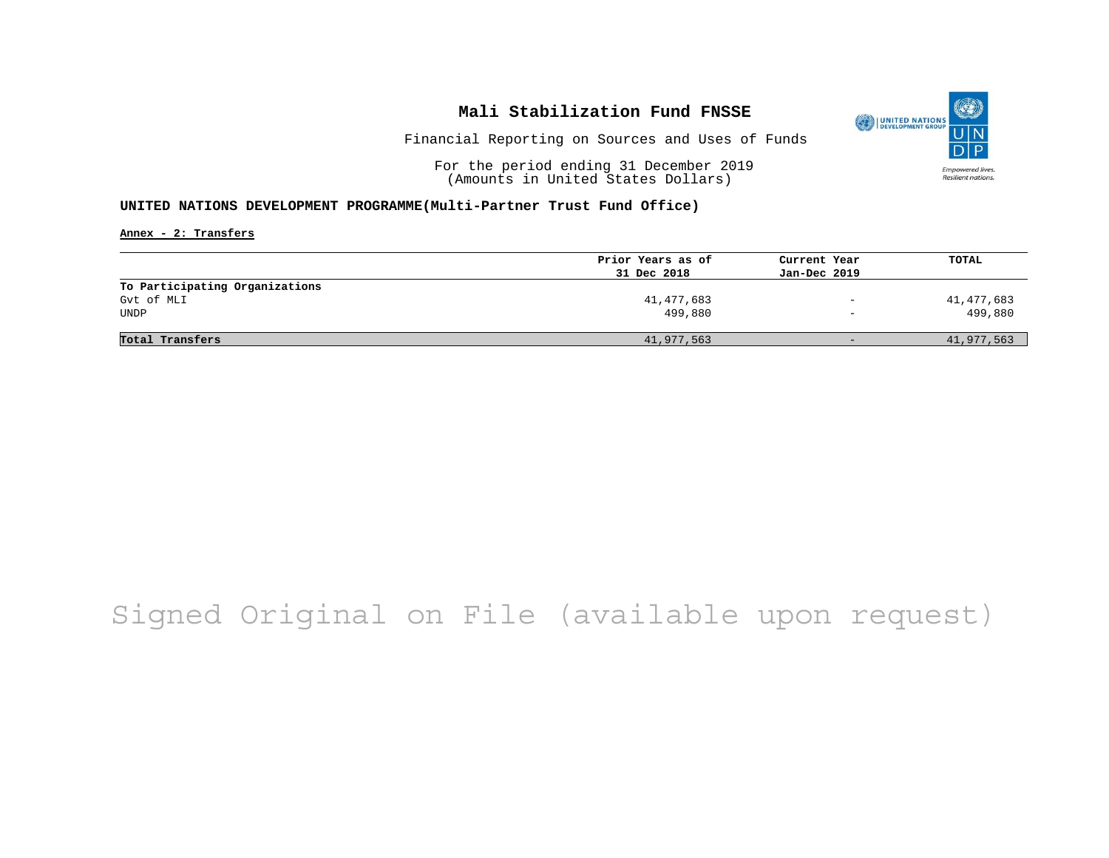

Financial Reporting on Sources and Uses of Funds

For the period ending 31 December 2019 (Amounts in United States Dollars)

#### **UNITED NATIONS DEVELOPMENT PROGRAMME(Multi-Partner Trust Fund Office)**

**Annex - 2: Transfers**

|                                | Prior Years as of | Current Year             | TOTAL      |
|--------------------------------|-------------------|--------------------------|------------|
|                                | 31 Dec 2018       | Jan-Dec 2019             |            |
| To Participating Organizations |                   |                          |            |
| Gvt of MLI                     | 41,477,683        | $\qquad \qquad -$        | 41,477,683 |
| <b>UNDP</b>                    | 499,880           | $\overline{\phantom{m}}$ | 499,880    |
|                                |                   |                          |            |
| Total Transfers                | 41,977,563        | $-$                      | 41,977,563 |

# Signed Original on File (available upon request)